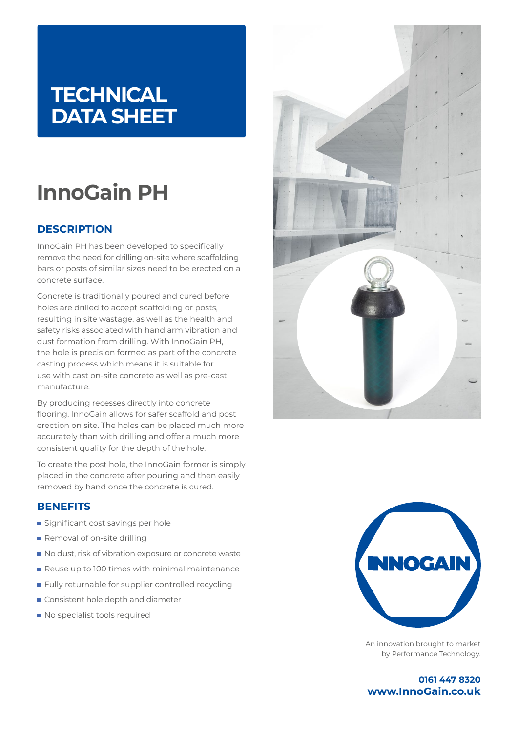### **TECHNICAL DATA SHEET**

# **InnoGain PH**

#### **DESCRIPTION**

InnoGain PH has been developed to specifically remove the need for drilling on-site where scaffolding bars or posts of similar sizes need to be erected on a concrete surface.

Concrete is traditionally poured and cured before holes are drilled to accept scaffolding or posts, resulting in site wastage, as well as the health and safety risks associated with hand arm vibration and dust formation from drilling. With InnoGain PH, the hole is precision formed as part of the concrete casting process which means it is suitable for use with cast on-site concrete as well as pre-cast manufacture.

By producing recesses directly into concrete flooring, InnoGain allows for safer scaffold and post erection on site. The holes can be placed much more accurately than with drilling and offer a much more consistent quality for the depth of the hole.

To create the post hole, the InnoGain former is simply placed in the concrete after pouring and then easily removed by hand once the concrete is cured.

#### **BENEFITS**

- **Significant cost savings per hole**
- Removal of on-site drilling
- No dust, risk of vibration exposure or concrete waste
- Reuse up to 100 times with minimal maintenance
- Fully returnable for supplier controlled recycling
- Consistent hole depth and diameter
- $\blacksquare$  No specialist tools required





An innovation brought to market by Performance Technology.

**0161 447 8320 www.InnoGain.co.uk**